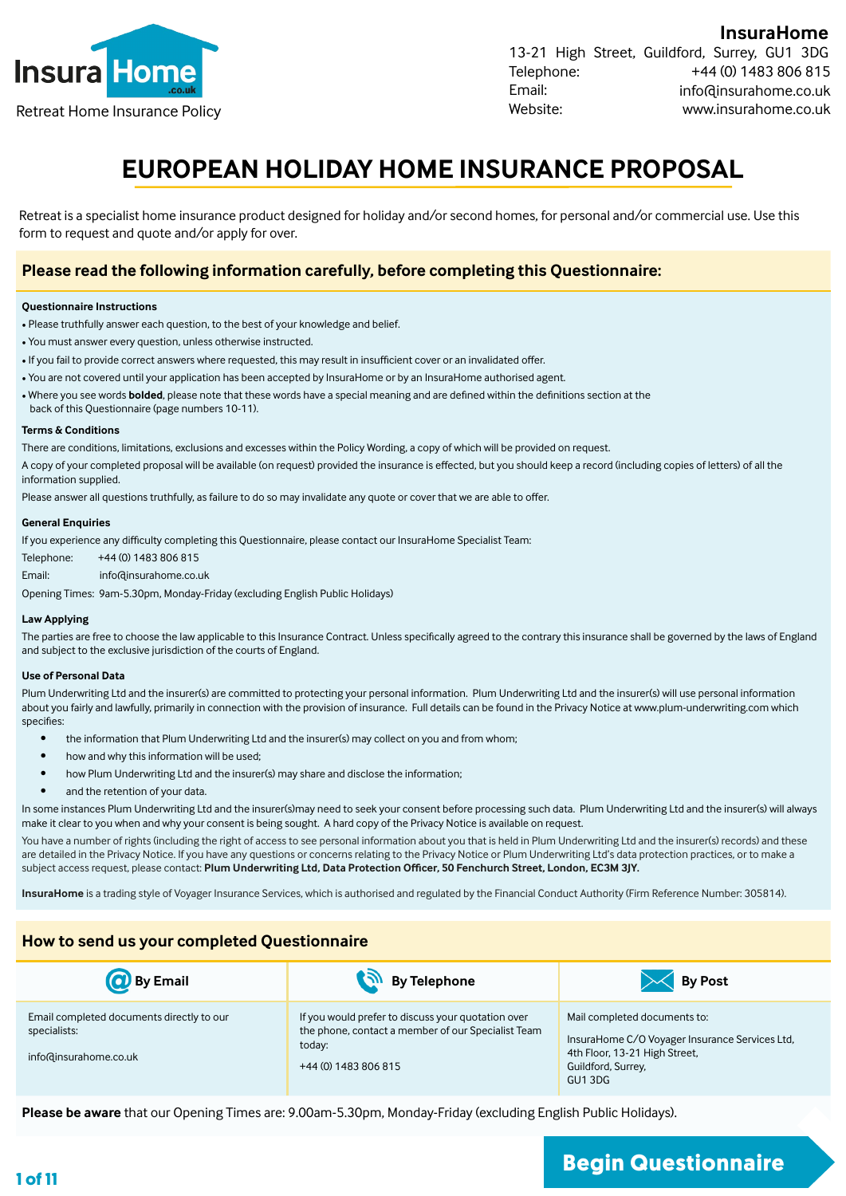

**InsuraHome** 13-21 High Street, Guildford, Surrey, GU1 3DG Telephone: Email: Website: +44 (0) 1483 806 815 info@insurahome.co.uk Retreat Home Insurance Policy www.insurahome.co.uk

# **EUROPEAN HOLIDAY HOME INSURANCE PROPOSAL**

Retreat is a specialist home insurance product designed for holiday and/or second homes, for personal and/or commercial use. Use this form to request and quote and/or apply for over.

#### **Please read the following information carefully, before completing this Questionnaire:**

#### **Questionnaire Instructions**

- Please truthfully answer each question, to the best of your knowledge and belief.
- You must answer every question, unless otherwise instructed.
- If you fail to provide correct answers where requested, this may result in insufficient cover or an invalidated offer.
- You are not covered until your application has been accepted by InsuraHome or by an InsuraHome authorised agent.
- Where you see words **bolded**, please note that these words have a special meaning and are defined within the definitions section at the
- back of this Questionnaire (page numbers 10-11).

#### **Terms & Conditions**

There are conditions, limitations, exclusions and excesses within the Policy Wording, a copy of which will be provided on request.

A copy of your completed proposal will be available (on request) provided the insurance is effected, but you should keep a record (including copies of letters) of all the information supplied.

Please answer all questions truthfully, as failure to do so may invalidate any quote or cover that we are able to offer.

#### **General Enquiries**

If you experience any difficulty completing this Questionnaire, please contact our InsuraHome Specialist Team:

Telephone: +44 (0) 1483 806 815

Email: info@insurahome.co.uk

Opening Times: 9am-5.30pm, Monday-Friday (excluding English Public Holidays)

#### **Law Applying**

The parties are free to choose the law applicable to this Insurance Contract. Unless specifically agreed to the contrary this insurance shall be governed by the laws of England and subject to the exclusive jurisdiction of the courts of England.

#### **Use of Personal Data**

Plum Underwriting Ltd and the insurer(s) are committed to protecting your personal information. Plum Underwriting Ltd and the insurer(s) will use personal information about you fairly and lawfully, primarily in connection with the provision of insurance. Full details can be found in the Privacy Notice at www.plum-underwriting.com which specifies:

- the information that Plum Underwriting Ltd and the insurer(s) may collect on you and from whom;
- how and why this information will be used;
- how Plum Underwriting Ltd and the insurer(s) may share and disclose the information;
- and the retention of your data.

In some instances Plum Underwriting Ltd and the insurer(s)may need to seek your consent before processing such data. Plum Underwriting Ltd and the insurer(s) will always make it clear to you when and why your consent is being sought. A hard copy of the Privacy Notice is available on request.

You have a number of rights (including the right of access to see personal information about you that is held in Plum Underwriting Ltd and the insurer(s) records) and these are detailed in the Privacy Notice. If you have any questions or concerns relating to the Privacy Notice or Plum Underwriting Ltd's data protection practices, or to make a subject access request, please contact: **Plum Underwriting Ltd, Data Protection Officer, 50 Fenchurch Street, London, EC3M 3JY.**

**InsuraHome** is a trading style of Voyager Insurance Services, which is authorised and regulated by the Financial Conduct Authority (Firm Reference Number: 305814).

#### **How to send us your completed Questionnaire**

| <b>O</b> By Email                                                                  | By Telephone                                                                                                                               | <b>By Post</b>                                                                                                                                  |
|------------------------------------------------------------------------------------|--------------------------------------------------------------------------------------------------------------------------------------------|-------------------------------------------------------------------------------------------------------------------------------------------------|
| Email completed documents directly to our<br>specialists:<br>info@insurahome.co.uk | If you would prefer to discuss your quotation over<br>the phone, contact a member of our Specialist Team<br>today:<br>+44 (0) 1483 806 815 | Mail completed documents to:<br>InsuraHome C/O Voyager Insurance Services Ltd,<br>4th Floor, 13-21 High Street,<br>Guildford, Surrey.<br>GU13DG |

**Please be aware** that our Opening Times are: 9.00am-5.30pm, Monday-Friday (excluding English Public Holidays).

# **1 of 11 Begin Questionnaire**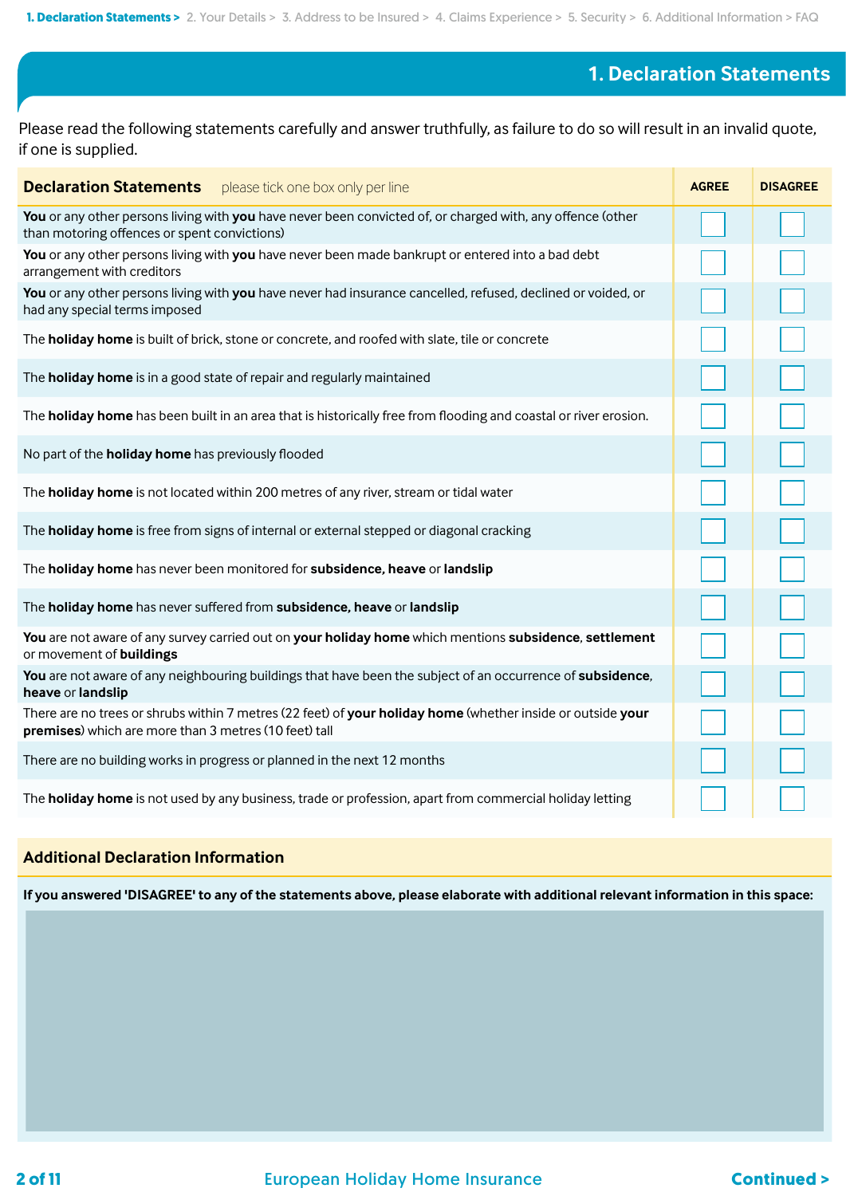## **1. Declaration Statements**

Please read the following statements carefully and answer truthfully, as failure to do so will result in an invalid quote, if one is supplied.

| <b>Declaration Statements</b> please tick one box only per line                                                                                                      | <b>AGREE</b> | <b>DISAGREE</b> |
|----------------------------------------------------------------------------------------------------------------------------------------------------------------------|--------------|-----------------|
| You or any other persons living with you have never been convicted of, or charged with, any offence (other<br>than motoring offences or spent convictions)           |              |                 |
| You or any other persons living with you have never been made bankrupt or entered into a bad debt<br>arrangement with creditors                                      |              |                 |
| You or any other persons living with you have never had insurance cancelled, refused, declined or voided, or<br>had any special terms imposed                        |              |                 |
| The holiday home is built of brick, stone or concrete, and roofed with slate, tile or concrete                                                                       |              |                 |
| The <b>holiday home</b> is in a good state of repair and regularly maintained                                                                                        |              |                 |
| The holiday home has been built in an area that is historically free from flooding and coastal or river erosion.                                                     |              |                 |
| No part of the <b>holiday home</b> has previously flooded                                                                                                            |              |                 |
| The holiday home is not located within 200 metres of any river, stream or tidal water                                                                                |              |                 |
| The holiday home is free from signs of internal or external stepped or diagonal cracking                                                                             |              |                 |
| The holiday home has never been monitored for subsidence, heave or landslip                                                                                          |              |                 |
| The holiday home has never suffered from subsidence, heave or landslip                                                                                               |              |                 |
| You are not aware of any survey carried out on your holiday home which mentions subsidence, settlement<br>or movement of buildings                                   |              |                 |
| You are not aware of any neighbouring buildings that have been the subject of an occurrence of subsidence,<br>heave or landslip                                      |              |                 |
| There are no trees or shrubs within 7 metres (22 feet) of your holiday home (whether inside or outside your<br>premises) which are more than 3 metres (10 feet) tall |              |                 |
| There are no building works in progress or planned in the next 12 months                                                                                             |              |                 |
| The holiday home is not used by any business, trade or profession, apart from commercial holiday letting                                                             |              |                 |

### **Additional Declaration Information**

**If you answered 'DISAGREE' to any of the statements above, please elaborate with additional relevant information in this space:**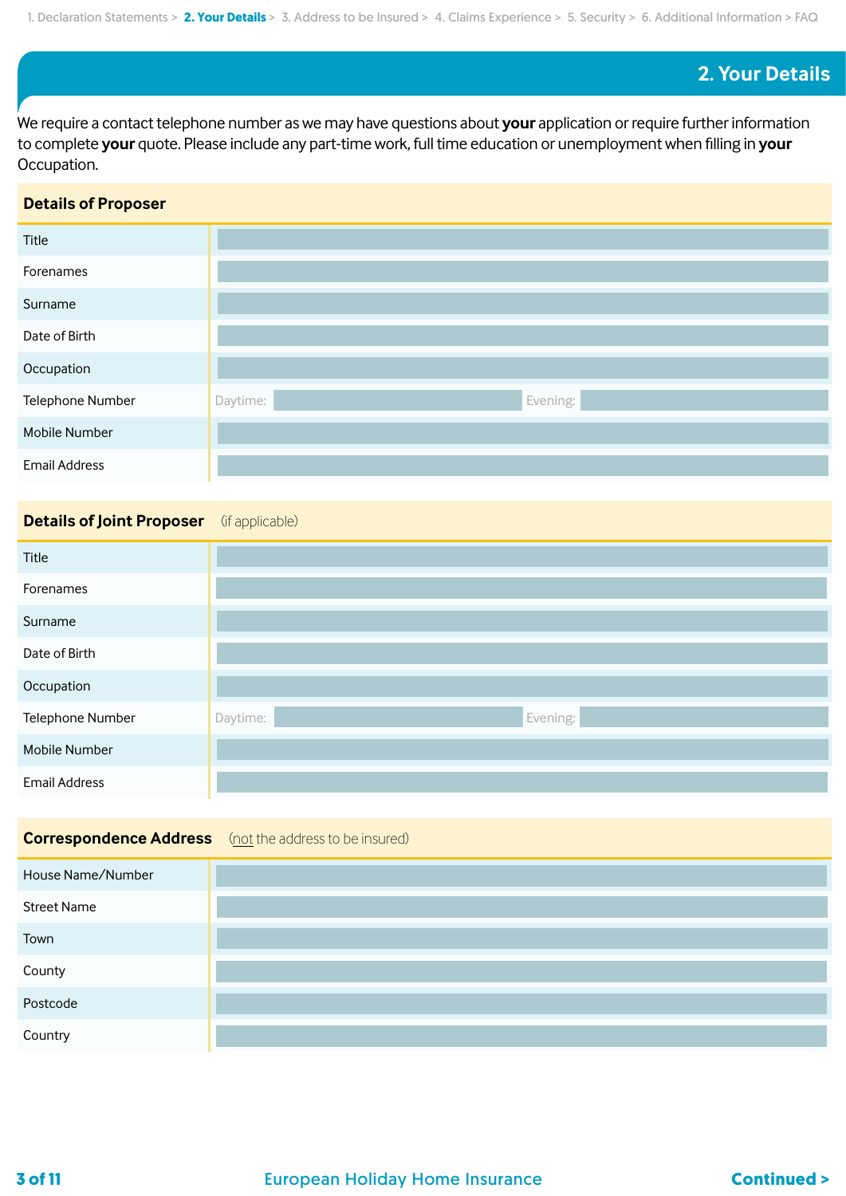## **2. Your Details**

We require a contact telephone number as we may have questions about **your** application or require further information to complete **your** quote. Please include any part-time work, full time education or unemployment when filling in **your**  Occupation.

#### **Details of Proposer**

| Title                |                      |
|----------------------|----------------------|
| Forenames            |                      |
| Surname              |                      |
| Date of Birth        |                      |
| Occupation           |                      |
| Telephone Number     | Evening:<br>Daytime: |
| Mobile Number        |                      |
| <b>Email Address</b> |                      |

## **Details of Joint Proposer** (if applicable)

| Title                |                      |
|----------------------|----------------------|
| Forenames            |                      |
| Surname              |                      |
| Date of Birth        |                      |
| Occupation           |                      |
| Telephone Number     | Evening:<br>Daytime: |
| Mobile Number        |                      |
| <b>Email Address</b> |                      |

## **Correspondence Address** (not the address to be insured)

| House Name/Number  |  |
|--------------------|--|
| <b>Street Name</b> |  |
| Town               |  |
| County             |  |
| Postcode           |  |
| Country            |  |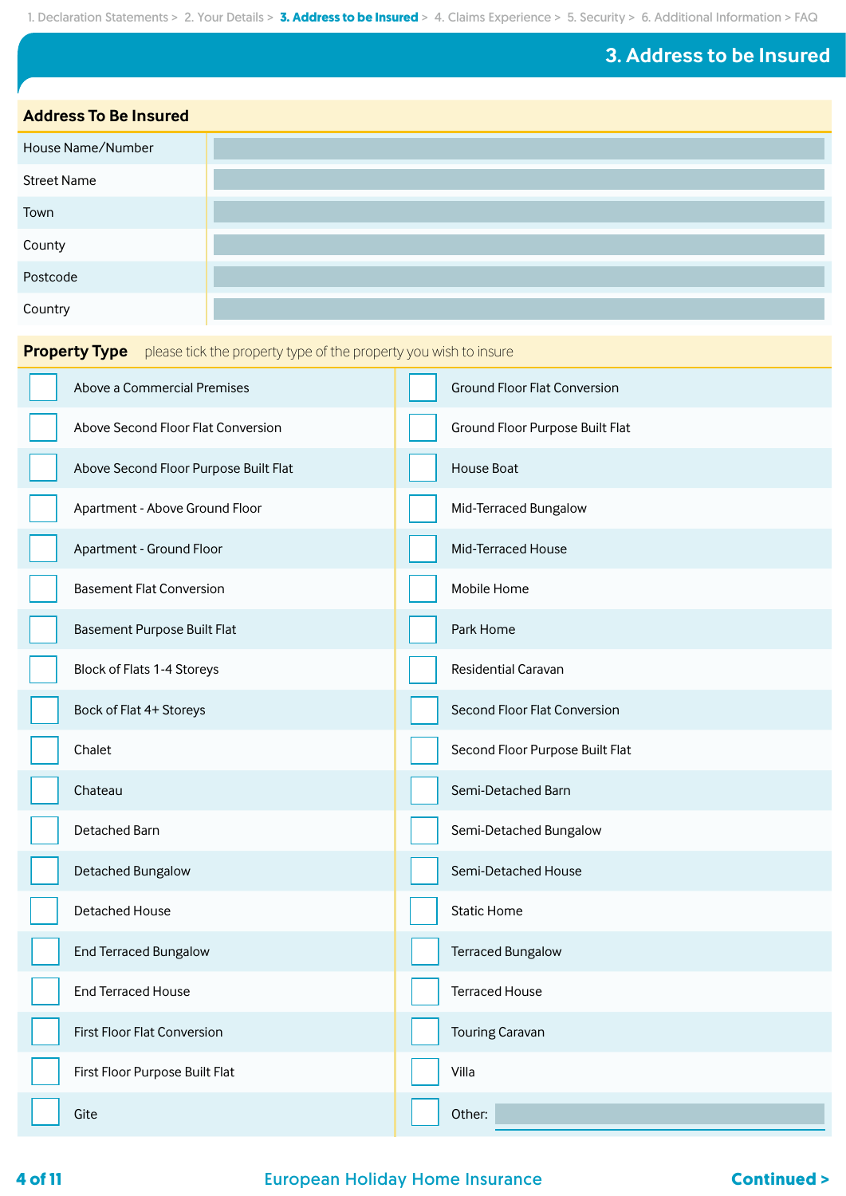**3. Address to be Insured**

**Address To Be Insured**

| House Name/Number  |  |
|--------------------|--|
| <b>Street Name</b> |  |
| Town               |  |
| County             |  |
| Postcode           |  |
| Country            |  |

**Property Type** please tick the property type of the property you wish to insure

| Above a Commercial Premises           | <b>Ground Floor Flat Conversion</b> |
|---------------------------------------|-------------------------------------|
| Above Second Floor Flat Conversion    | Ground Floor Purpose Built Flat     |
| Above Second Floor Purpose Built Flat | House Boat                          |
| Apartment - Above Ground Floor        | Mid-Terraced Bungalow               |
| Apartment - Ground Floor              | Mid-Terraced House                  |
| <b>Basement Flat Conversion</b>       | Mobile Home                         |
| Basement Purpose Built Flat           | Park Home                           |
| Block of Flats 1-4 Storeys            | Residential Caravan                 |
| Bock of Flat 4+ Storeys               | Second Floor Flat Conversion        |
| Chalet                                | Second Floor Purpose Built Flat     |
| Chateau                               | Semi-Detached Barn                  |
| Detached Barn                         | Semi-Detached Bungalow              |
| Detached Bungalow                     | Semi-Detached House                 |
| Detached House                        | <b>Static Home</b>                  |
| <b>End Terraced Bungalow</b>          | <b>Terraced Bungalow</b>            |
| <b>End Terraced House</b>             | <b>Terraced House</b>               |
| First Floor Flat Conversion           | <b>Touring Caravan</b>              |
| First Floor Purpose Built Flat        | Villa                               |
| Gite                                  | Other:                              |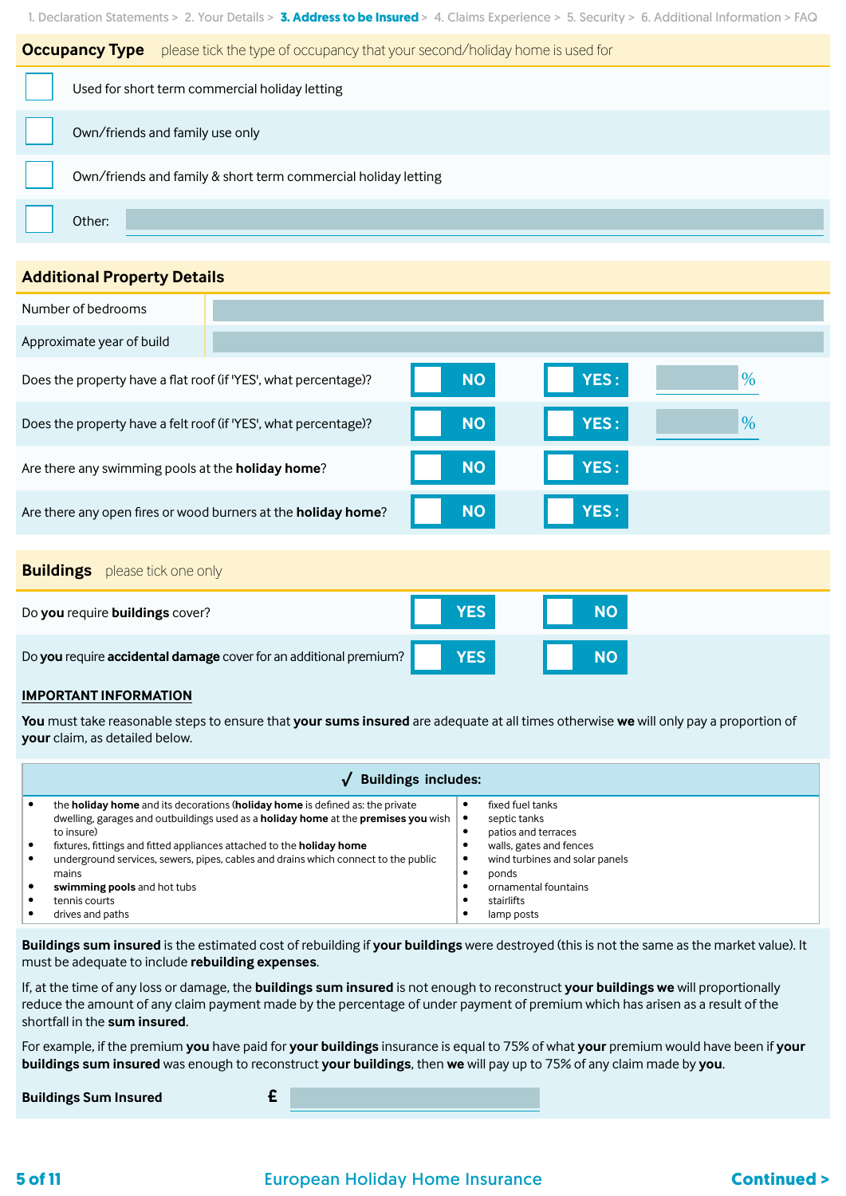

#### **Additional Property Details**

| Number of bedrooms                                                |            |           |      |
|-------------------------------------------------------------------|------------|-----------|------|
| Approximate year of build                                         |            |           |      |
| Does the property have a flat roof (if 'YES', what percentage)?   | <b>NO</b>  | YES:      | $\%$ |
| Does the property have a felt roof (if 'YES', what percentage)?   | <b>NO</b>  | YES:      | $\%$ |
| Are there any swimming pools at the <b>holiday home</b> ?         | <b>NO</b>  | YES:      |      |
| Are there any open fires or wood burners at the holiday home?     | <b>NO</b>  | YES:      |      |
|                                                                   |            |           |      |
| <b>Buildings</b> please tick one only                             |            |           |      |
| Do you require buildings cover?                                   | <b>YES</b> | <b>NO</b> |      |
| Do you require accidental damage cover for an additional premium? | <b>YES</b> | <b>NO</b> |      |

#### **IMPORTANT INFORMATION**

**You** must take reasonable steps to ensure that **your sums insured** are adequate at all times otherwise **we** will only pay a proportion of **your** claim, as detailed below.

|                                   | <b>Buildings includes:</b>                                                                       |           |                                |  |
|-----------------------------------|--------------------------------------------------------------------------------------------------|-----------|--------------------------------|--|
|                                   | the <b>holiday home</b> and its decorations ( <b>holiday home</b> is defined as: the private     |           | fixed fuel tanks               |  |
|                                   | dwelling, garages and outbuildings used as a <b>holiday home</b> at the <b>premises you</b> wish | $\bullet$ | septic tanks                   |  |
| to insure)<br>patios and terraces |                                                                                                  |           |                                |  |
|                                   | fixtures, fittings and fitted appliances attached to the <b>holiday home</b>                     |           | walls, gates and fences        |  |
|                                   | underground services, sewers, pipes, cables and drains which connect to the public               | ٠         | wind turbines and solar panels |  |
|                                   | mains                                                                                            |           | ponds                          |  |
|                                   | swimming pools and hot tubs                                                                      |           | ornamental fountains           |  |
|                                   | tennis courts                                                                                    |           | stairlifts                     |  |
|                                   | drives and paths                                                                                 |           | lamp posts                     |  |

**Buildings sum insured** is the estimated cost of rebuilding if **your buildings** were destroyed (this is not the same as the market value). It must be adequate to include **rebuilding expenses**.

If, at the time of any loss or damage, the **buildings sum insured** is not enough to reconstruct **your buildings we** will proportionally reduce the amount of any claim payment made by the percentage of under payment of premium which has arisen as a result of the shortfall in the **sum insured**.

For example, if the premium **you** have paid for **your buildings** insurance is equal to 75% of what **your** premium would have been if **your buildings sum insured** was enough to reconstruct **your buildings**, then **we** will pay up to 75% of any claim made by **you**.

| <b>Buildings Sum Insured</b> |  |
|------------------------------|--|
|                              |  |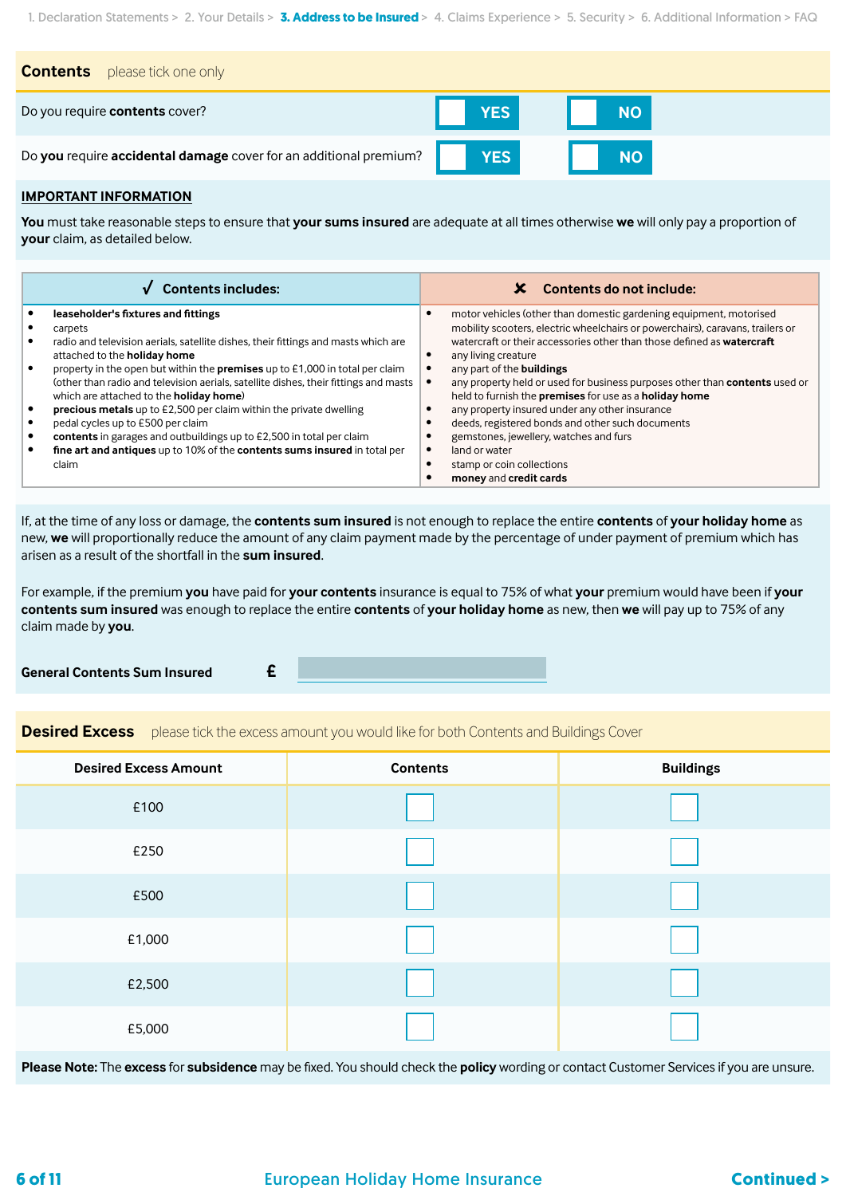| <b>Contents</b><br>please tick one only                           |            |           |
|-------------------------------------------------------------------|------------|-----------|
| Do you require contents cover?                                    | YES        | <b>NO</b> |
| Do you require accidental damage cover for an additional premium? | <b>YES</b> | <b>NO</b> |

#### **IMPORTANT INFORMATION**

**You** must take reasonable steps to ensure that **your sums insured** are adequate at all times otherwise **we** will only pay a proportion of **your** claim, as detailed below.

| <b>Contents includes:</b>                                                                                                                                                                                                                                                                                                                                                                                                                                                                                                                                                                                                                                                       | Contents do not include:                                                                                                                                                                                                                                                                                                                                                                                                                                                                                                                                                                                                                                         |
|---------------------------------------------------------------------------------------------------------------------------------------------------------------------------------------------------------------------------------------------------------------------------------------------------------------------------------------------------------------------------------------------------------------------------------------------------------------------------------------------------------------------------------------------------------------------------------------------------------------------------------------------------------------------------------|------------------------------------------------------------------------------------------------------------------------------------------------------------------------------------------------------------------------------------------------------------------------------------------------------------------------------------------------------------------------------------------------------------------------------------------------------------------------------------------------------------------------------------------------------------------------------------------------------------------------------------------------------------------|
| leaseholder's fixtures and fittings<br>carpets<br>radio and television aerials, satellite dishes, their fittings and masts which are<br>attached to the <b>holiday home</b><br>property in the open but within the premises up to £1,000 in total per claim<br>(other than radio and television aerials, satellite dishes, their fittings and masts<br>which are attached to the <b>holiday home</b> )<br>precious metals up to £2,500 per claim within the private dwelling<br>pedal cycles up to £500 per claim<br>contents in garages and outbuildings up to £2,500 in total per claim<br>fine art and antiques up to 10% of the contents sums insured in total per<br>claim | motor vehicles (other than domestic gardening equipment, motorised<br>mobility scooters, electric wheelchairs or powerchairs), caravans, trailers or<br>watercraft or their accessories other than those defined as watercraft<br>any living creature<br>any part of the buildings<br>any property held or used for business purposes other than contents used or<br>held to furnish the premises for use as a holiday home<br>any property insured under any other insurance<br>deeds, registered bonds and other such documents<br>gemstones, jewellery, watches and furs<br>land or water<br>$\bullet$<br>stamp or coin collections<br>money and credit cards |

If, at the time of any loss or damage, the **contents sum insured** is not enough to replace the entire **contents** of **your holiday home** as new, **we** will proportionally reduce the amount of any claim payment made by the percentage of under payment of premium which has arisen as a result of the shortfall in the **sum insured**.

For example, if the premium **you** have paid for **your contents** insurance is equal to 75% of what **your** premium would have been if **your contents sum insured** was enough to replace the entire **contents** of **your holiday home** as new, then **we** will pay up to 75% of any claim made by **you**.

**General Contents Sum Insured £**

**Desired Excess** please tick the excess amount you would like for both Contents and Buildings Cover

| <b>Desired Excess Amount</b> | <b>Contents</b> | <b>Buildings</b> |
|------------------------------|-----------------|------------------|
| £100                         |                 |                  |
| £250                         |                 |                  |
| £500                         |                 |                  |
| £1,000                       |                 |                  |
| £2,500                       |                 |                  |
| £5,000                       |                 |                  |

**Please Note:** The **excess** for **subsidence** may be fixed. You should check the **policy** wording or contact Customer Services if you are unsure.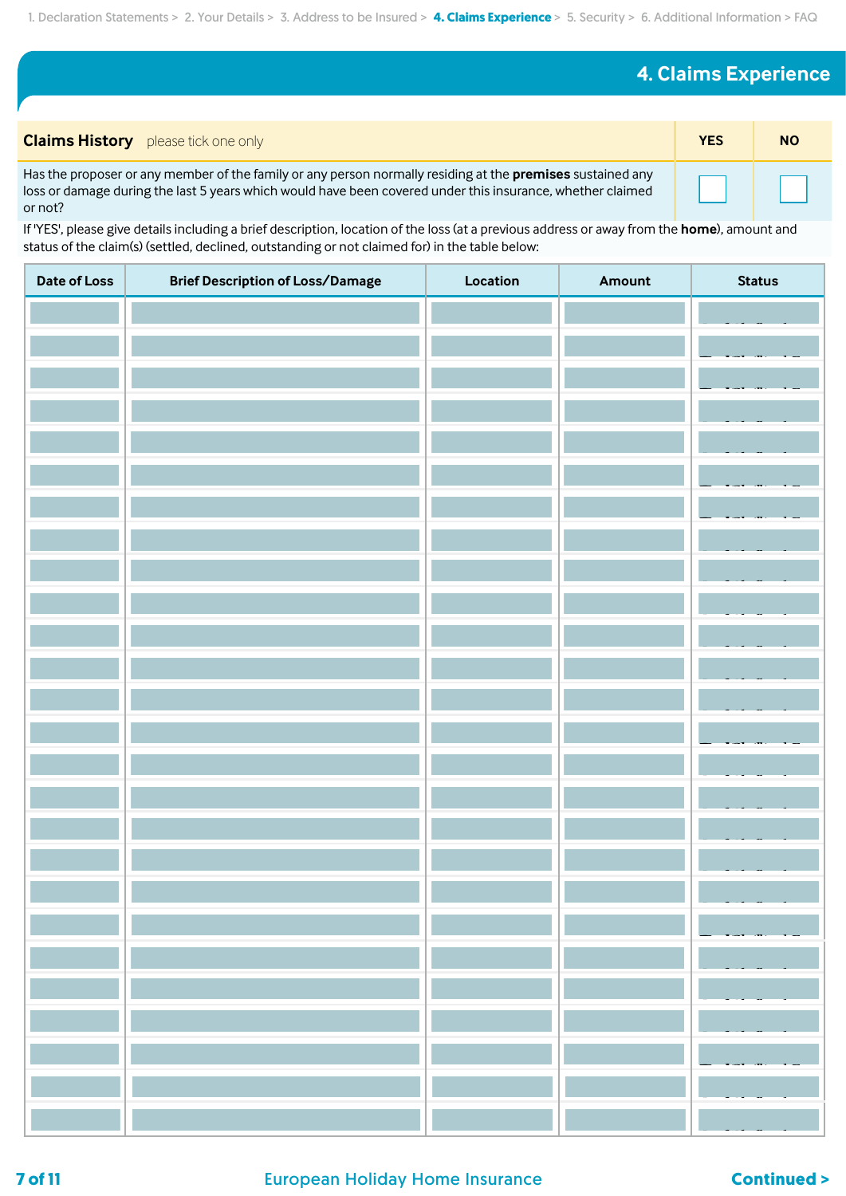# **4. Claims Experience**

| <b>Claims History</b> please tick one only                                                                                                                                                                                                 | <b>YES</b> | <b>NO</b> |
|--------------------------------------------------------------------------------------------------------------------------------------------------------------------------------------------------------------------------------------------|------------|-----------|
| Has the proposer or any member of the family or any person normally residing at the <b>premises</b> sustained any<br>loss or damage during the last 5 years which would have been covered under this insurance, whether claimed<br>or not? |            |           |

If 'YES', please give details including a brief description, location of the loss (at a previous address or away from the **home**), amount and status of the claim(s) (settled, declined, outstanding or not claimed for) in the table below:

| <b>Date of Loss</b> | <b>Brief Description of Loss/Damage</b> | Location | Amount | <b>Status</b> |
|---------------------|-----------------------------------------|----------|--------|---------------|
|                     |                                         |          |        |               |
|                     |                                         |          |        |               |
|                     |                                         |          |        |               |
|                     |                                         |          |        |               |
|                     |                                         |          |        |               |
|                     |                                         |          |        |               |
|                     |                                         |          |        |               |
|                     |                                         |          |        |               |
|                     |                                         |          |        |               |
|                     |                                         |          |        |               |
|                     |                                         |          |        |               |
|                     |                                         |          |        |               |
|                     |                                         |          |        |               |
|                     |                                         |          |        |               |
|                     |                                         |          |        |               |
|                     |                                         |          |        |               |
|                     |                                         |          |        |               |
|                     |                                         |          |        |               |
|                     |                                         |          |        |               |
|                     |                                         |          |        |               |
|                     |                                         |          |        |               |
|                     |                                         |          |        |               |
|                     |                                         |          |        |               |
|                     |                                         |          |        |               |
|                     |                                         |          |        |               |
|                     |                                         |          |        |               |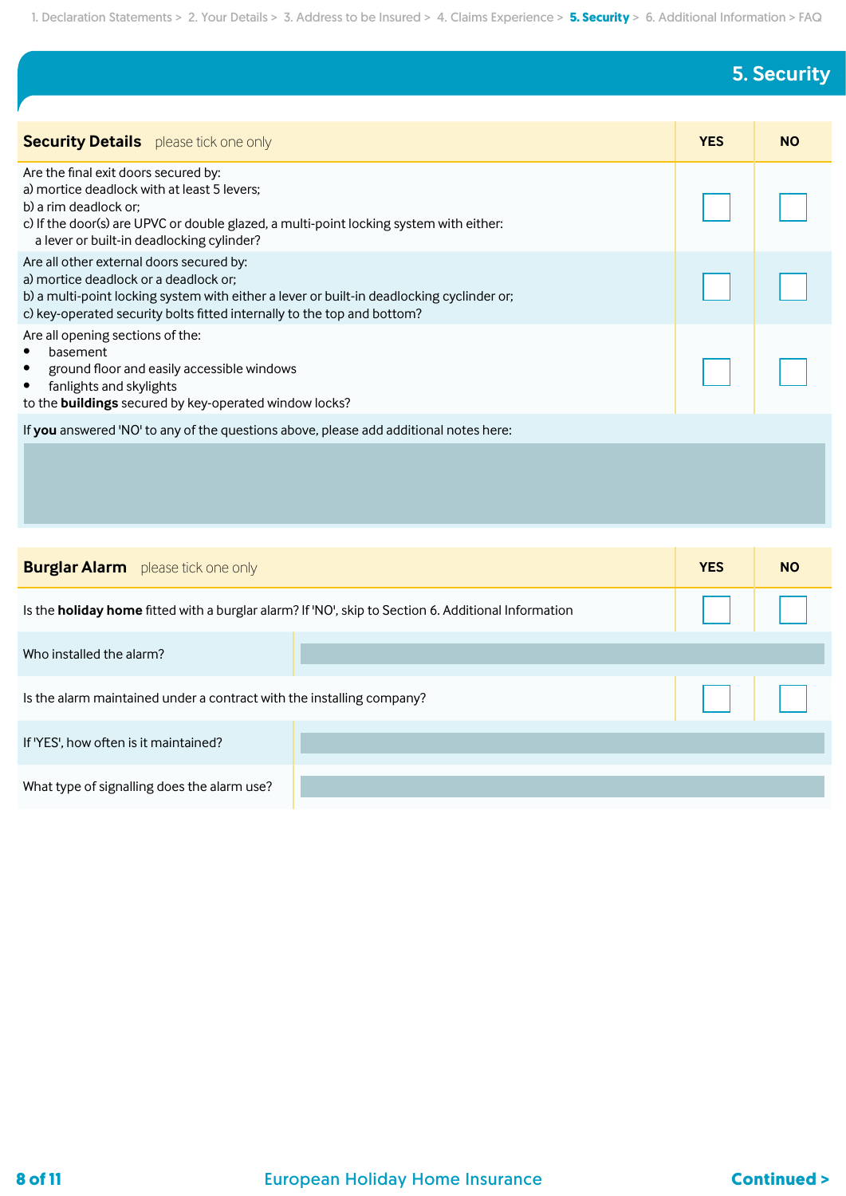# **5. Security**

| <b>Security Details</b> please tick one only                                                                                                                                                                                                              | <b>YES</b> | <b>NO</b> |
|-----------------------------------------------------------------------------------------------------------------------------------------------------------------------------------------------------------------------------------------------------------|------------|-----------|
| Are the final exit doors secured by:<br>a) mortice deadlock with at least 5 levers;<br>b) a rim deadlock or:<br>c) If the door(s) are UPVC or double glazed, a multi-point locking system with either:<br>a lever or built-in deadlocking cylinder?       |            |           |
| Are all other external doors secured by:<br>a) mortice deadlock or a deadlock or;<br>b) a multi-point locking system with either a lever or built-in deadlocking cyclinder or;<br>c) key-operated security bolts fitted internally to the top and bottom? |            |           |
| Are all opening sections of the:<br>basement<br>$\bullet$<br>ground floor and easily accessible windows<br>$\bullet$<br>fanlights and skylights<br>$\bullet$<br>to the buildings secured by key-operated window locks?                                    |            |           |
| If you answered 'NO' to any of the questions above, please add additional notes here:                                                                                                                                                                     |            |           |
|                                                                                                                                                                                                                                                           |            |           |

| <b>Burglar Alarm</b> please tick one only                             |                                                                                                            | <b>YES</b>  | <b>NO</b> |
|-----------------------------------------------------------------------|------------------------------------------------------------------------------------------------------------|-------------|-----------|
|                                                                       | Is the <b>holiday home</b> fitted with a burglar alarm? If 'NO', skip to Section 6. Additional Information |             |           |
| Who installed the alarm?                                              |                                                                                                            |             |           |
| Is the alarm maintained under a contract with the installing company? |                                                                                                            | <b>LILE</b> |           |
| If 'YES', how often is it maintained?                                 |                                                                                                            |             |           |
| What type of signalling does the alarm use?                           |                                                                                                            |             |           |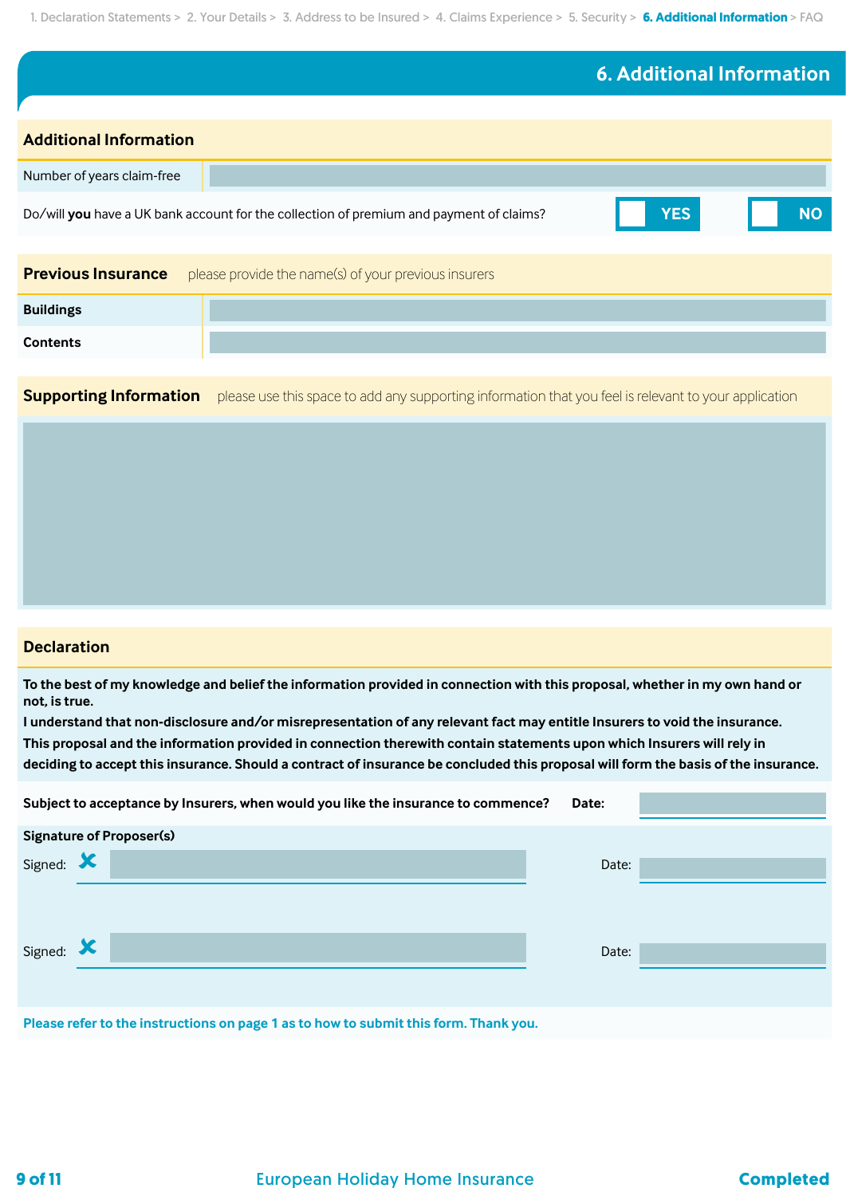# **6. Additional Information**

| <b>Additional Information</b> |                                                                                                       |           |  |
|-------------------------------|-------------------------------------------------------------------------------------------------------|-----------|--|
| Number of years claim-free    |                                                                                                       |           |  |
|                               | <b>YES</b><br>Do/will you have a UK bank account for the collection of premium and payment of claims? | <b>NO</b> |  |
|                               |                                                                                                       |           |  |
| <b>Previous Insurance</b>     | please provide the name(s) of your previous insurers                                                  |           |  |
| <b>Buildings</b>              |                                                                                                       |           |  |
| <b>Contents</b>               |                                                                                                       |           |  |

**Supporting Information** please use this space to add any supporting information that you feel is relevant to your application

### **Declaration**

**To the best of my knowledge and belief the information provided in connection with this proposal, whether in my own hand or not, is true.**

**I understand that non-disclosure and/or misrepresentation of any relevant fact may entitle Insurers to void the insurance. This proposal and the information provided in connection therewith contain statements upon which Insurers will rely in deciding to accept this insurance. Should a contract of insurance be concluded this proposal will form the basis of the insurance.**

|                                                                                      | Subject to acceptance by Insurers, when would you like the insurance to commence? | Date: |  |  |
|--------------------------------------------------------------------------------------|-----------------------------------------------------------------------------------|-------|--|--|
|                                                                                      | <b>Signature of Proposer(s)</b>                                                   |       |  |  |
| Signed:                                                                              |                                                                                   | Date: |  |  |
| Signed: X                                                                            |                                                                                   | Date: |  |  |
| Please refer to the instructions on page 1 as to how to submit this form. Thank you. |                                                                                   |       |  |  |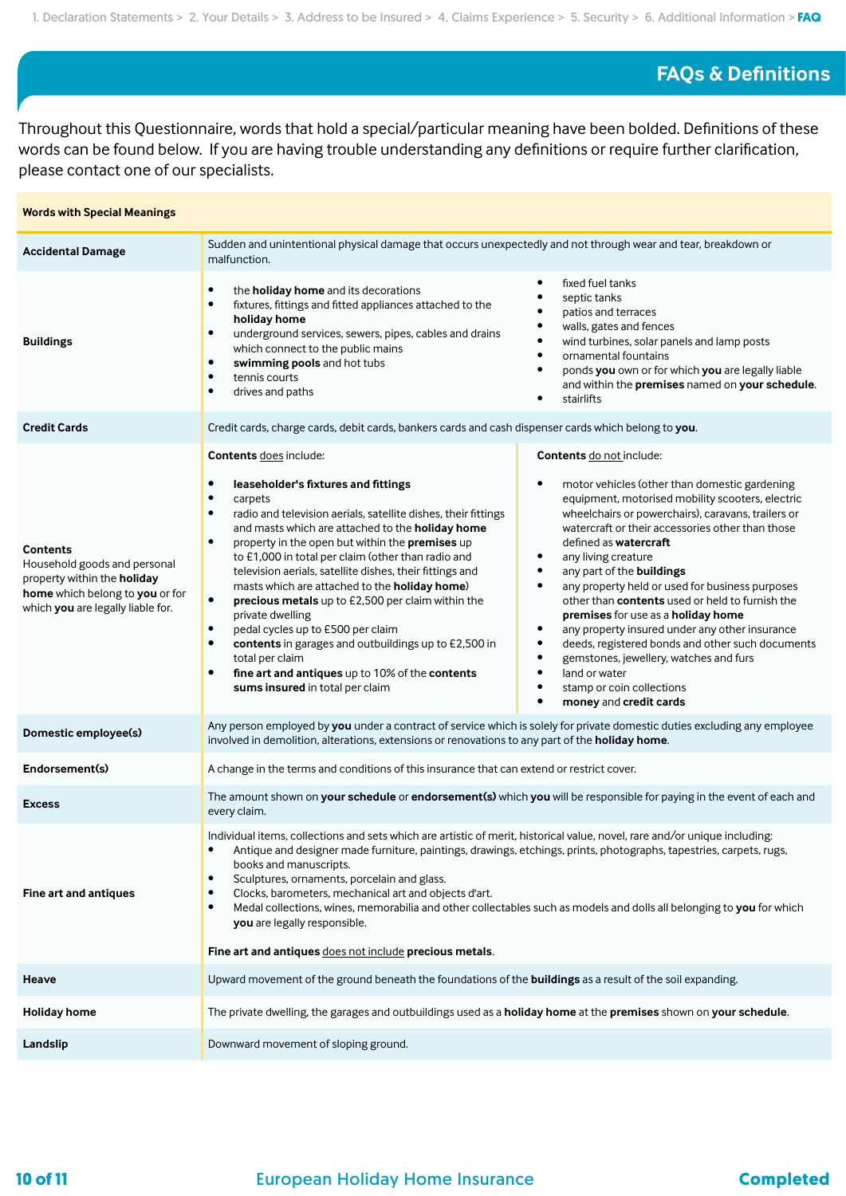## **FAQs & Definitions**

Throughout this Questionnaire, words that hold a special/particular meaning have been bolded. Definitions of these words can be found below. If you are having trouble understanding any definitions or require further clarification, please contact one of our specialists.

| <b>Words with Special Meanings</b>                                                                                                                     |                                                                                                                                                                                                                                                                                                                                                                                                                                                                                                                                                                                                                                                                                                                                                                                                                    |                                                                                                                                                                                                                                                                                                                                                                                                                                                                                                                                                                                                                                                                                                                                                                                                      |  |
|--------------------------------------------------------------------------------------------------------------------------------------------------------|--------------------------------------------------------------------------------------------------------------------------------------------------------------------------------------------------------------------------------------------------------------------------------------------------------------------------------------------------------------------------------------------------------------------------------------------------------------------------------------------------------------------------------------------------------------------------------------------------------------------------------------------------------------------------------------------------------------------------------------------------------------------------------------------------------------------|------------------------------------------------------------------------------------------------------------------------------------------------------------------------------------------------------------------------------------------------------------------------------------------------------------------------------------------------------------------------------------------------------------------------------------------------------------------------------------------------------------------------------------------------------------------------------------------------------------------------------------------------------------------------------------------------------------------------------------------------------------------------------------------------------|--|
| <b>Accidental Damage</b>                                                                                                                               | Sudden and unintentional physical damage that occurs unexpectedly and not through wear and tear, breakdown or<br>malfunction.                                                                                                                                                                                                                                                                                                                                                                                                                                                                                                                                                                                                                                                                                      |                                                                                                                                                                                                                                                                                                                                                                                                                                                                                                                                                                                                                                                                                                                                                                                                      |  |
| <b>Buildings</b>                                                                                                                                       | the holiday home and its decorations<br>٠<br>fixtures, fittings and fitted appliances attached to the<br>$\bullet$<br>holiday home<br>underground services, sewers, pipes, cables and drains<br>$\bullet$<br>which connect to the public mains<br>swimming pools and hot tubs<br>$\bullet$<br>tennis courts<br>$\bullet$<br>drives and paths<br>$\bullet$                                                                                                                                                                                                                                                                                                                                                                                                                                                          | fixed fuel tanks<br>٠<br>septic tanks<br>patios and terraces<br>walls, gates and fences<br>wind turbines, solar panels and lamp posts<br>$\bullet$<br>ornamental fountains<br>$\bullet$<br>ponds you own or for which you are legally liable<br>$\bullet$<br>and within the premises named on your schedule.<br>stairlifts                                                                                                                                                                                                                                                                                                                                                                                                                                                                           |  |
| <b>Credit Cards</b>                                                                                                                                    | Credit cards, charge cards, debit cards, bankers cards and cash dispenser cards which belong to you.                                                                                                                                                                                                                                                                                                                                                                                                                                                                                                                                                                                                                                                                                                               |                                                                                                                                                                                                                                                                                                                                                                                                                                                                                                                                                                                                                                                                                                                                                                                                      |  |
| <b>Contents</b><br>Household goods and personal<br>property within the holiday<br>home which belong to you or for<br>which you are legally liable for. | <b>Contents does include:</b><br>$\bullet$<br>leaseholder's fixtures and fittings<br>carpets<br>$\bullet$<br>radio and television aerials, satellite dishes, their fittings<br>$\bullet$<br>and masts which are attached to the holiday home<br>property in the open but within the premises up<br>$\bullet$<br>to £1,000 in total per claim (other than radio and<br>television aerials, satellite dishes, their fittings and<br>masts which are attached to the holiday home)<br>$\bullet$<br>precious metals up to £2,500 per claim within the<br>private dwelling<br>pedal cycles up to £500 per claim<br>$\bullet$<br>contents in garages and outbuildings up to £2,500 in<br>$\bullet$<br>total per claim<br>fine art and antiques up to 10% of the contents<br>$\bullet$<br>sums insured in total per claim | Contents do not include:<br>motor vehicles (other than domestic gardening<br>٠<br>equipment, motorised mobility scooters, electric<br>wheelchairs or powerchairs), caravans, trailers or<br>watercraft or their accessories other than those<br>defined as <b>watercraft</b><br>any living creature<br>$\bullet$<br>any part of the buildings<br>$\bullet$<br>any property held or used for business purposes<br>$\bullet$<br>other than contents used or held to furnish the<br>premises for use as a holiday home<br>any property insured under any other insurance<br>$\bullet$<br>deeds, registered bonds and other such documents<br>$\bullet$<br>gemstones, jewellery, watches and furs<br>٠<br>land or water<br>$\bullet$<br>$\bullet$<br>stamp or coin collections<br>money and credit cards |  |
| Domestic employee(s)                                                                                                                                   | Any person employed by you under a contract of service which is solely for private domestic duties excluding any employee<br>involved in demolition, alterations, extensions or renovations to any part of the holiday home.                                                                                                                                                                                                                                                                                                                                                                                                                                                                                                                                                                                       |                                                                                                                                                                                                                                                                                                                                                                                                                                                                                                                                                                                                                                                                                                                                                                                                      |  |
| Endorsement(s)                                                                                                                                         | A change in the terms and conditions of this insurance that can extend or restrict cover.                                                                                                                                                                                                                                                                                                                                                                                                                                                                                                                                                                                                                                                                                                                          |                                                                                                                                                                                                                                                                                                                                                                                                                                                                                                                                                                                                                                                                                                                                                                                                      |  |
| <b>Excess</b>                                                                                                                                          | The amount shown on your schedule or endorsement(s) which you will be responsible for paying in the event of each and<br>every claim.                                                                                                                                                                                                                                                                                                                                                                                                                                                                                                                                                                                                                                                                              |                                                                                                                                                                                                                                                                                                                                                                                                                                                                                                                                                                                                                                                                                                                                                                                                      |  |
| Fine art and antiques                                                                                                                                  | Individual items, collections and sets which are artistic of merit, historical value, novel, rare and/or unique including:<br>Antique and designer made furniture, paintings, drawings, etchings, prints, photographs, tapestries, carpets, rugs,<br>$\bullet$<br>books and manuscripts.<br>Sculptures, ornaments, porcelain and glass.<br>$\bullet$<br>Clocks, barometers, mechanical art and objects d'art.<br>$\bullet$<br>Medal collections, wines, memorabilia and other collectables such as models and dolls all belonging to you for which<br>$\bullet$<br>you are legally responsible.<br>Fine art and antiques does not include precious metals.                                                                                                                                                         |                                                                                                                                                                                                                                                                                                                                                                                                                                                                                                                                                                                                                                                                                                                                                                                                      |  |
| Heave                                                                                                                                                  | Upward movement of the ground beneath the foundations of the <b>buildings</b> as a result of the soil expanding.                                                                                                                                                                                                                                                                                                                                                                                                                                                                                                                                                                                                                                                                                                   |                                                                                                                                                                                                                                                                                                                                                                                                                                                                                                                                                                                                                                                                                                                                                                                                      |  |
| <b>Holiday home</b>                                                                                                                                    | The private dwelling, the garages and outbuildings used as a holiday home at the premises shown on your schedule.                                                                                                                                                                                                                                                                                                                                                                                                                                                                                                                                                                                                                                                                                                  |                                                                                                                                                                                                                                                                                                                                                                                                                                                                                                                                                                                                                                                                                                                                                                                                      |  |
| Landslip                                                                                                                                               | Downward movement of sloping ground.                                                                                                                                                                                                                                                                                                                                                                                                                                                                                                                                                                                                                                                                                                                                                                               |                                                                                                                                                                                                                                                                                                                                                                                                                                                                                                                                                                                                                                                                                                                                                                                                      |  |